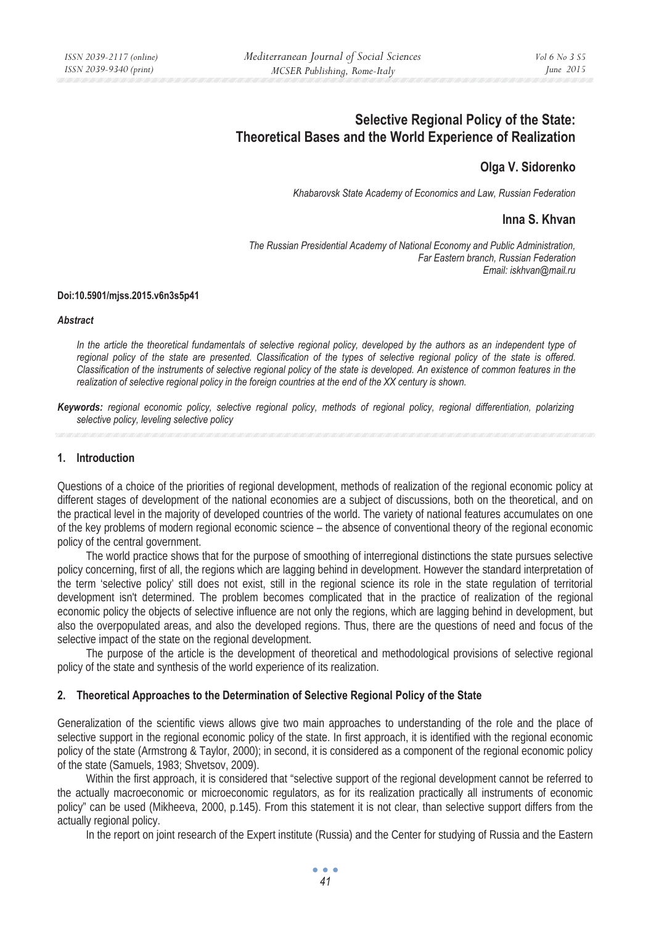# **Selective Regional Policy of the State: Theoretical Bases and the World Experience of Realization**

## **Olga V. Sidorenko**

*Khabarovsk State Academy of Economics and Law, Russian Federation* 

## **Inna S. Khvan**

*The Russian Presidential Academy of National Economy and Public Administration, Far Eastern branch, Russian Federation Email: iskhvan@mail.ru* 

#### **Doi:10.5901/mjss.2015.v6n3s5p41**

#### *Abstract*

*In the article the theoretical fundamentals of selective regional policy, developed by the authors as an independent type of regional policy of the state are presented. Classification of the types of selective regional policy of the state is offered. Classification of the instruments of selective regional policy of the state is developed. An existence of common features in the realization of selective regional policy in the foreign countries at the end of the XX century is shown.* 

*Keywords: regional economic policy, selective regional policy, methods of regional policy, regional differentiation, polarizing selective policy, leveling selective policy* 

#### **1. Introduction**

Questions of a choice of the priorities of regional development, methods of realization of the regional economic policy at different stages of development of the national economies are a subject of discussions, both on the theoretical, and on the practical level in the majority of developed countries of the world. The variety of national features accumulates on one of the key problems of modern regional economic science – the absence of conventional theory of the regional economic policy of the central government.

The world practice shows that for the purpose of smoothing of interregional distinctions the state pursues selective policy concerning, first of all, the regions which are lagging behind in development. However the standard interpretation of the term 'selective policy' still does not exist, still in the regional science its role in the state regulation of territorial development isn't determined. The problem becomes complicated that in the practice of realization of the regional economic policy the objects of selective influence are not only the regions, which are lagging behind in development, but also the overpopulated areas, and also the developed regions. Thus, there are the questions of need and focus of the selective impact of the state on the regional development.

The purpose of the article is the development of theoretical and methodological provisions of selective regional policy of the state and synthesis of the world experience of its realization.

#### **2. Theoretical Approaches to the Determination of Selective Regional Policy of the State**

Generalization of the scientific views allows give two main approaches to understanding of the role and the place of selective support in the regional economic policy of the state. In first approach, it is identified with the regional economic policy of the state (Armstrong & Taylor, 2000); in second, it is considered as a component of the regional economic policy of the state (Samuels, 1983; Shvetsov, 2009).

Within the first approach, it is considered that "selective support of the regional development cannot be referred to the actually macroeconomic or microeconomic regulators, as for its realization practically all instruments of economic policy" can be used (Mikheeva, 2000, p.145). From this statement it is not clear, than selective support differs from the actually regional policy.

In the report on joint research of the Expert institute (Russia) and the Center for studying of Russia and the Eastern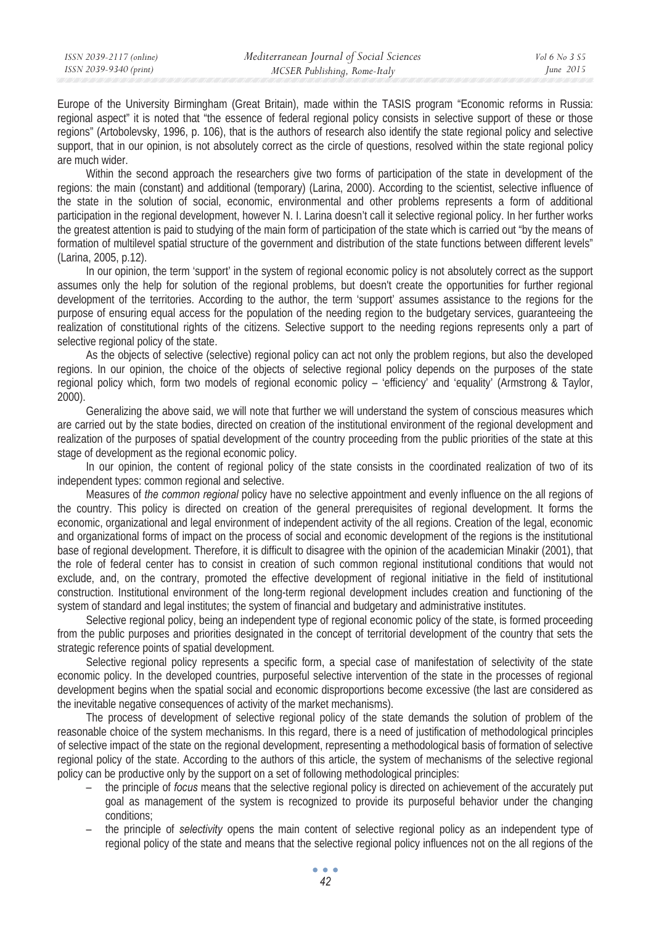Europe of the University Birmingham (Great Britain), made within the TASIS program "Economic reforms in Russia: regional aspect" it is noted that "the essence of federal regional policy consists in selective support of these or those regions" (Artobolevsky, 1996, p. 106), that is the authors of research also identify the state regional policy and selective support, that in our opinion, is not absolutely correct as the circle of questions, resolved within the state regional policy are much wider.

Within the second approach the researchers give two forms of participation of the state in development of the regions: the main (constant) and additional (temporary) (Larina, 2000). According to the scientist, selective influence of the state in the solution of social, economic, environmental and other problems represents a form of additional participation in the regional development, however N. I. Larina doesn't call it selective regional policy. In her further works the greatest attention is paid to studying of the main form of participation of the state which is carried out "by the means of formation of multilevel spatial structure of the government and distribution of the state functions between different levels" (Larina, 2005, p.12).

In our opinion, the term 'support' in the system of regional economic policy is not absolutely correct as the support assumes only the help for solution of the regional problems, but doesn't create the opportunities for further regional development of the territories. According to the author, the term 'support' assumes assistance to the regions for the purpose of ensuring equal access for the population of the needing region to the budgetary services, guaranteeing the realization of constitutional rights of the citizens. Selective support to the needing regions represents only a part of selective regional policy of the state.

As the objects of selective (selective) regional policy can act not only the problem regions, but also the developed regions. In our opinion, the choice of the objects of selective regional policy depends on the purposes of the state regional policy which, form two models of regional economic policy – 'efficiency' and 'equality' (Armstrong & Taylor, 2000).

Generalizing the above said, we will note that further we will understand the system of conscious measures which are carried out by the state bodies, directed on creation of the institutional environment of the regional development and realization of the purposes of spatial development of the country proceeding from the public priorities of the state at this stage of development as the regional economic policy.

In our opinion, the content of regional policy of the state consists in the coordinated realization of two of its independent types: common regional and selective.

Measures of *the common regional* policy have no selective appointment and evenly influence on the all regions of the country. This policy is directed on creation of the general prerequisites of regional development. It forms the economic, organizational and legal environment of independent activity of the all regions. Creation of the legal, economic and organizational forms of impact on the process of social and economic development of the regions is the institutional base of regional development. Therefore, it is difficult to disagree with the opinion of the academician Minakir (2001), that the role of federal center has to consist in creation of such common regional institutional conditions that would not exclude, and, on the contrary, promoted the effective development of regional initiative in the field of institutional construction. Institutional environment of the long-term regional development includes creation and functioning of the system of standard and legal institutes; the system of financial and budgetary and administrative institutes.

Selective regional policy, being an independent type of regional economic policy of the state, is formed proceeding from the public purposes and priorities designated in the concept of territorial development of the country that sets the strategic reference points of spatial development.

Selective regional policy represents a specific form, a special case of manifestation of selectivity of the state economic policy. In the developed countries, purposeful selective intervention of the state in the processes of regional development begins when the spatial social and economic disproportions become excessive (the last are considered as the inevitable negative consequences of activity of the market mechanisms).

The process of development of selective regional policy of the state demands the solution of problem of the reasonable choice of the system mechanisms. In this regard, there is a need of justification of methodological principles of selective impact of the state on the regional development, representing a methodological basis of formation of selective regional policy of the state. According to the authors of this article, the system of mechanisms of the selective regional policy can be productive only by the support on a set of following methodological principles:

- the principle of *focus* means that the selective regional policy is directed on achievement of the accurately put goal as management of the system is recognized to provide its purposeful behavior under the changing conditions;
- the principle of *selectivity* opens the main content of selective regional policy as an independent type of regional policy of the state and means that the selective regional policy influences not on the all regions of the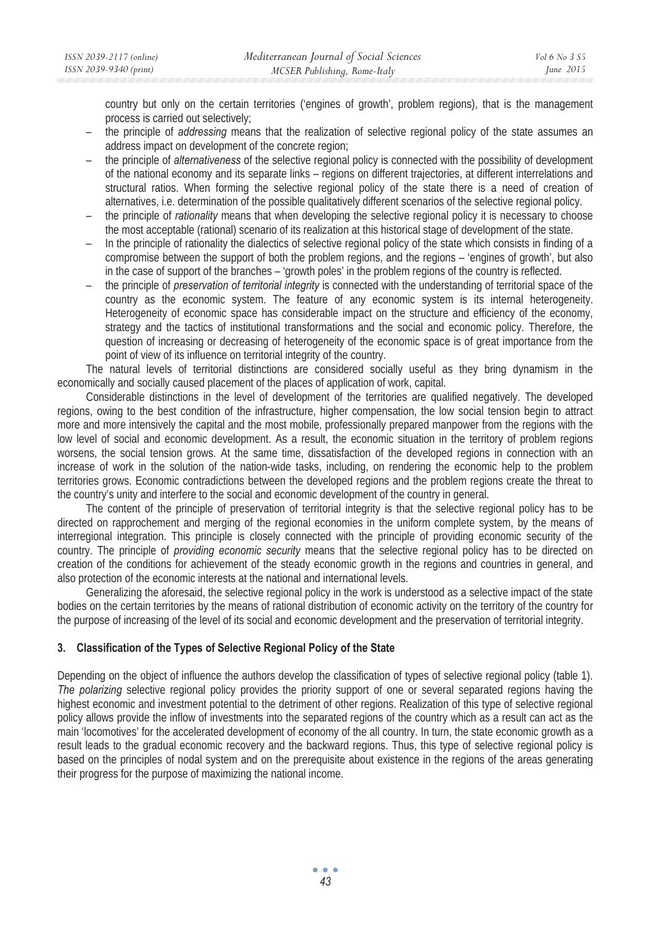country but only on the certain territories ('engines of growth', problem regions), that is the management process is carried out selectively;

- the principle of *addressing* means that the realization of selective regional policy of the state assumes an address impact on development of the concrete region;
- the principle of *alternativeness* of the selective regional policy is connected with the possibility of development of the national economy and its separate links – regions on different trajectories, at different interrelations and structural ratios. When forming the selective regional policy of the state there is a need of creation of alternatives, i.e. determination of the possible qualitatively different scenarios of the selective regional policy.
- the principle of *rationality* means that when developing the selective regional policy it is necessary to choose the most acceptable (rational) scenario of its realization at this historical stage of development of the state.
- In the principle of rationality the dialectics of selective regional policy of the state which consists in finding of a compromise between the support of both the problem regions, and the regions – 'engines of growth', but also in the case of support of the branches – 'growth poles' in the problem regions of the country is reflected.
- the principle of *preservation of territorial integrity* is connected with the understanding of territorial space of the country as the economic system. The feature of any economic system is its internal heterogeneity. Heterogeneity of economic space has considerable impact on the structure and efficiency of the economy, strategy and the tactics of institutional transformations and the social and economic policy. Therefore, the question of increasing or decreasing of heterogeneity of the economic space is of great importance from the point of view of its influence on territorial integrity of the country.

The natural levels of territorial distinctions are considered socially useful as they bring dynamism in the economically and socially caused placement of the places of application of work, capital.

Considerable distinctions in the level of development of the territories are qualified negatively. The developed regions, owing to the best condition of the infrastructure, higher compensation, the low social tension begin to attract more and more intensively the capital and the most mobile, professionally prepared manpower from the regions with the low level of social and economic development. As a result, the economic situation in the territory of problem regions worsens, the social tension grows. At the same time, dissatisfaction of the developed regions in connection with an increase of work in the solution of the nation-wide tasks, including, on rendering the economic help to the problem territories grows. Economic contradictions between the developed regions and the problem regions create the threat to the country's unity and interfere to the social and economic development of the country in general.

The content of the principle of preservation of territorial integrity is that the selective regional policy has to be directed on rapprochement and merging of the regional economies in the uniform complete system, by the means of interregional integration. This principle is closely connected with the principle of providing economic security of the country. The principle of *providing economic security* means that the selective regional policy has to be directed on creation of the conditions for achievement of the steady economic growth in the regions and countries in general, and also protection of the economic interests at the national and international levels.

Generalizing the aforesaid, the selective regional policy in the work is understood as a selective impact of the state bodies on the certain territories by the means of rational distribution of economic activity on the territory of the country for the purpose of increasing of the level of its social and economic development and the preservation of territorial integrity.

## **3. Classification of the Types of Selective Regional Policy of the State**

Depending on the object of influence the authors develop the classification of types of selective regional policy (table 1). *The polarizing* selective regional policy provides the priority support of one or several separated regions having the highest economic and investment potential to the detriment of other regions. Realization of this type of selective regional policy allows provide the inflow of investments into the separated regions of the country which as a result can act as the main 'locomotives' for the accelerated development of economy of the all country. In turn, the state economic growth as a result leads to the gradual economic recovery and the backward regions. Thus, this type of selective regional policy is based on the principles of nodal system and on the prerequisite about existence in the regions of the areas generating their progress for the purpose of maximizing the national income.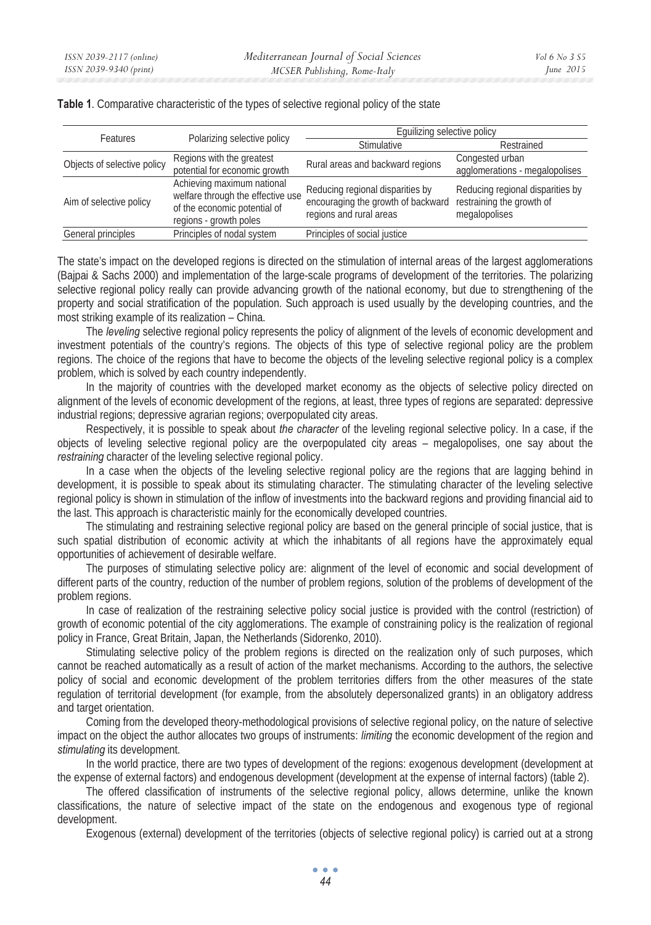| Features                    | Polarizing selective policy                                                                                               | Equilizing selective policy                                                                       |                                                                                |
|-----------------------------|---------------------------------------------------------------------------------------------------------------------------|---------------------------------------------------------------------------------------------------|--------------------------------------------------------------------------------|
|                             |                                                                                                                           | <b>Stimulative</b>                                                                                | Restrained                                                                     |
| Objects of selective policy | Regions with the greatest<br>potential for economic growth                                                                | Rural areas and backward regions                                                                  | Congested urban<br>agglomerations - megalopolises                              |
| Aim of selective policy     | Achieving maximum national<br>welfare through the effective use<br>of the economic potential of<br>regions - growth poles | Reducing regional disparities by<br>encouraging the growth of backward<br>regions and rural areas | Reducing regional disparities by<br>restraining the growth of<br>megalopolises |
| General principles          | Principles of nodal system                                                                                                | Principles of social justice                                                                      |                                                                                |

**Table 1**. Comparative characteristic of the types of selective regional policy of the state

The state's impact on the developed regions is directed on the stimulation of internal areas of the largest agglomerations (Bajpai & Sachs 2000) and implementation of the large-scale programs of development of the territories. The polarizing selective regional policy really can provide advancing growth of the national economy, but due to strengthening of the property and social stratification of the population. Such approach is used usually by the developing countries, and the most striking example of its realization – China.

The *leveling* selective regional policy represents the policy of alignment of the levels of economic development and investment potentials of the country's regions. The objects of this type of selective regional policy are the problem regions. The choice of the regions that have to become the objects of the leveling selective regional policy is a complex problem, which is solved by each country independently.

In the majority of countries with the developed market economy as the objects of selective policy directed on alignment of the levels of economic development of the regions, at least, three types of regions are separated: depressive industrial regions; depressive agrarian regions; overpopulated city areas.

Respectively, it is possible to speak about *the character* of the leveling regional selective policy. In a case, if the objects of leveling selective regional policy are the overpopulated city areas – megalopolises, one say about the *restraining* character of the leveling selective regional policy.

In a case when the objects of the leveling selective regional policy are the regions that are lagging behind in development, it is possible to speak about its stimulating character. The stimulating character of the leveling selective regional policy is shown in stimulation of the inflow of investments into the backward regions and providing financial aid to the last. This approach is characteristic mainly for the economically developed countries.

The stimulating and restraining selective regional policy are based on the general principle of social justice, that is such spatial distribution of economic activity at which the inhabitants of all regions have the approximately equal opportunities of achievement of desirable welfare.

The purposes of stimulating selective policy are: alignment of the level of economic and social development of different parts of the country, reduction of the number of problem regions, solution of the problems of development of the problem regions.

In case of realization of the restraining selective policy social justice is provided with the control (restriction) of growth of economic potential of the city agglomerations. The example of constraining policy is the realization of regional policy in France, Great Britain, Japan, the Netherlands (Sidorenko, 2010).

Stimulating selective policy of the problem regions is directed on the realization only of such purposes, which cannot be reached automatically as a result of action of the market mechanisms. According to the authors, the selective policy of social and economic development of the problem territories differs from the other measures of the state regulation of territorial development (for example, from the absolutely depersonalized grants) in an obligatory address and target orientation.

Coming from the developed theory-methodological provisions of selective regional policy, on the nature of selective impact on the object the author allocates two groups of instruments: *limiting* the economic development of the region and *stimulating* its development.

In the world practice, there are two types of development of the regions: exogenous development (development at the expense of external factors) and endogenous development (development at the expense of internal factors) (table 2).

The offered classification of instruments of the selective regional policy, allows determine, unlike the known classifications, the nature of selective impact of the state on the endogenous and exogenous type of regional development.

Exogenous (external) development of the territories (objects of selective regional policy) is carried out at a strong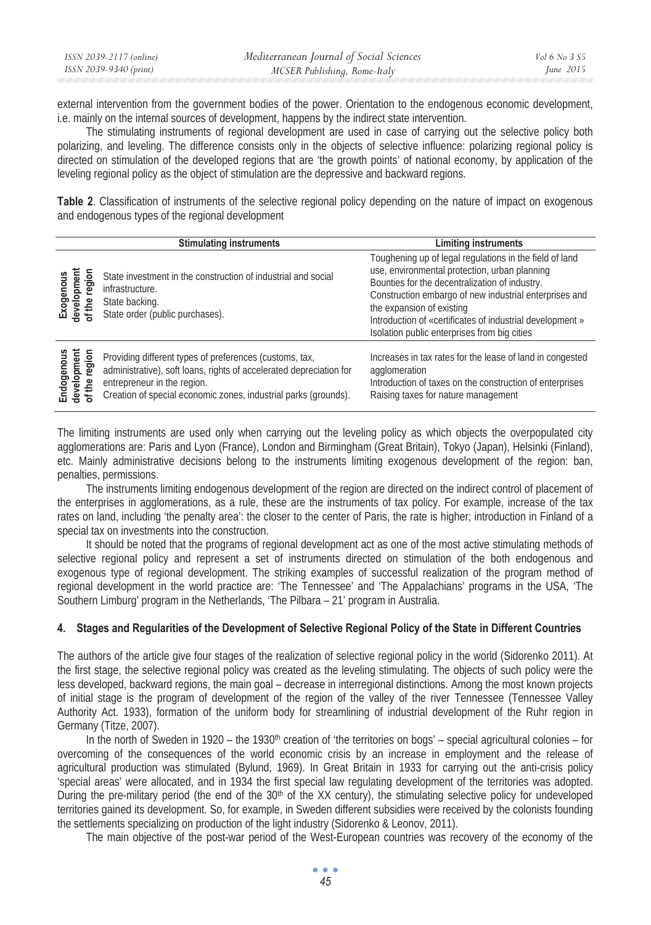| ISSN 2039-2117 (online) | Mediterranean Journal of Social Sciences | <i>Vol</i> 6 No 3 S5 |
|-------------------------|------------------------------------------|----------------------|
| ISSN 2039-9340 (print)  | MCSER Publishing, Rome-Italy             | June 2015            |

external intervention from the government bodies of the power. Orientation to the endogenous economic development, i.e. mainly on the internal sources of development, happens by the indirect state intervention.

The stimulating instruments of regional development are used in case of carrying out the selective policy both polarizing, and leveling. The difference consists only in the objects of selective influence: polarizing regional policy is directed on stimulation of the developed regions that are 'the growth points' of national economy, by application of the leveling regional policy as the object of stimulation are the depressive and backward regions.

**Table 2**. Classification of instruments of the selective regional policy depending on the nature of impact on exogenous and endogenous types of the regional development

|                                            | <b>Stimulating instruments</b>                                                                                                                                                                                                   | <b>Limiting instruments</b>                                                                                                                                                                                                                                                                                                                                   |
|--------------------------------------------|----------------------------------------------------------------------------------------------------------------------------------------------------------------------------------------------------------------------------------|---------------------------------------------------------------------------------------------------------------------------------------------------------------------------------------------------------------------------------------------------------------------------------------------------------------------------------------------------------------|
| Exogenous<br>development<br>of the region  | State investment in the construction of industrial and social<br>infrastructure.<br>State backing.<br>State order (public purchases).                                                                                            | Toughening up of legal regulations in the field of land<br>use, environmental protection, urban planning<br>Bounties for the decentralization of industry.<br>Construction embargo of new industrial enterprises and<br>the expansion of existing<br>Introduction of «certificates of industrial development»<br>Isolation public enterprises from big cities |
| Endogenous<br>development<br>of the region | Providing different types of preferences (customs, tax,<br>administrative), soft loans, rights of accelerated depreciation for<br>entrepreneur in the region.<br>Creation of special economic zones, industrial parks (grounds). | Increases in tax rates for the lease of land in congested<br>agglomeration<br>Introduction of taxes on the construction of enterprises<br>Raising taxes for nature management                                                                                                                                                                                 |

The limiting instruments are used only when carrying out the leveling policy as which objects the overpopulated city agglomerations are: Paris and Lyon (France), London and Birmingham (Great Britain), Tokyo (Japan), Helsinki (Finland), etc. Mainly administrative decisions belong to the instruments limiting exogenous development of the region: ban, penalties, permissions.

The instruments limiting endogenous development of the region are directed on the indirect control of placement of the enterprises in agglomerations, as a rule, these are the instruments of tax policy. For example, increase of the tax rates on land, including 'the penalty area': the closer to the center of Paris, the rate is higher; introduction in Finland of a special tax on investments into the construction.

It should be noted that the programs of regional development act as one of the most active stimulating methods of selective regional policy and represent a set of instruments directed on stimulation of the both endogenous and exogenous type of regional development. The striking examples of successful realization of the program method of regional development in the world practice are: 'The Tennessee' and 'The Appalachians' programs in the USA, 'The Southern Limburg' program in the Netherlands, 'The Pilbara – 21' program in Australia.

### **4. Stages and Regularities of the Development of Selective Regional Policy of the State in Different Countries**

The authors of the article give four stages of the realization of selective regional policy in the world (Sidorenko 2011). At the first stage, the selective regional policy was created as the leveling stimulating. The objects of such policy were the less developed, backward regions, the main goal – decrease in interregional distinctions. Among the most known projects of initial stage is the program of development of the region of the valley of the river Tennessee (Tennessee Valley Authority Act. 1933), formation of the uniform body for streamlining of industrial development of the Ruhr region in Germany (Titze, 2007).

In the north of Sweden in 1920 – the 1930<sup>th</sup> creation of 'the territories on bogs' – special agricultural colonies – for overcoming of the consequences of the world economic crisis by an increase in employment and the release of agricultural production was stimulated (Bylund, 1969). In Great Britain in 1933 for carrying out the anti-crisis policy 'special areas' were allocated, and in 1934 the first special law regulating development of the territories was adopted. During the pre-military period (the end of the 30<sup>th</sup> of the XX century), the stimulating selective policy for undeveloped territories gained its development. So, for example, in Sweden different subsidies were received by the colonists founding the settlements specializing on production of the light industry (Sidorenko & Leonov, 2011).

The main objective of the post-war period of the West-European countries was recovery of the economy of the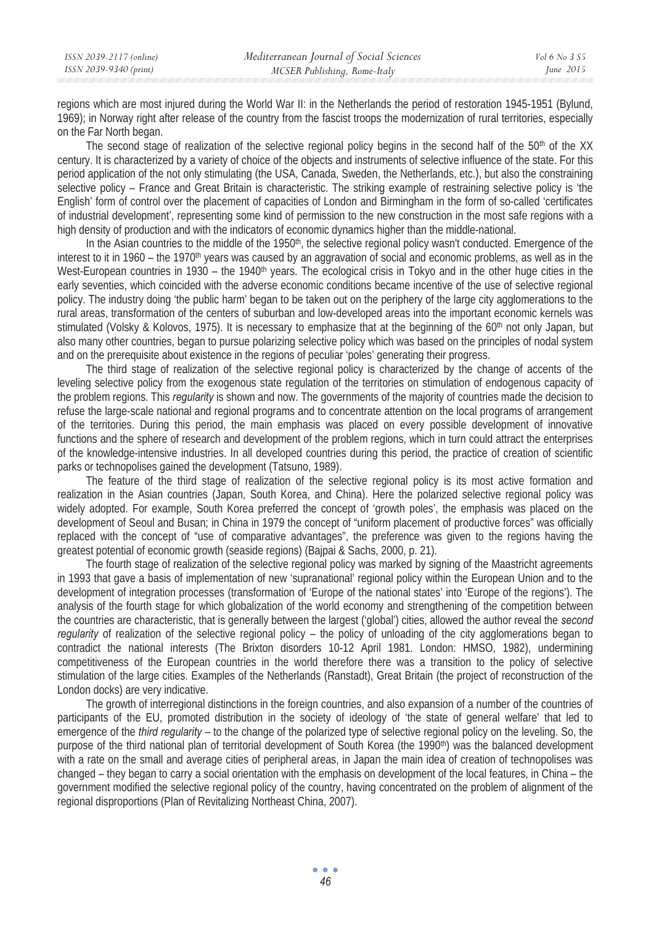regions which are most injured during the World War II: in the Netherlands the period of restoration 1945-1951 (Bylund, 1969); in Norway right after release of the country from the fascist troops the modernization of rural territories, especially on the Far North began.

The second stage of realization of the selective regional policy begins in the second half of the 50<sup>th</sup> of the XX century. It is characterized by a variety of choice of the objects and instruments of selective influence of the state. For this period application of the not only stimulating (the USA, Canada, Sweden, the Netherlands, etc.), but also the constraining selective policy – France and Great Britain is characteristic. The striking example of restraining selective policy is 'the English' form of control over the placement of capacities of London and Birmingham in the form of so-called 'certificates of industrial development', representing some kind of permission to the new construction in the most safe regions with a high density of production and with the indicators of economic dynamics higher than the middle-national.

In the Asian countries to the middle of the 1950<sup>th</sup>, the selective regional policy wasn't conducted. Emergence of the interest to it in 1960 – the 1970<sup>th</sup> years was caused by an aggravation of social and economic problems, as well as in the West-European countries in 1930 – the 1940<sup>th</sup> years. The ecological crisis in Tokyo and in the other huge cities in the early seventies, which coincided with the adverse economic conditions became incentive of the use of selective regional policy. The industry doing 'the public harm' began to be taken out on the periphery of the large city agglomerations to the rural areas, transformation of the centers of suburban and low-developed areas into the important economic kernels was stimulated (Volsky & Kolovos, 1975). It is necessary to emphasize that at the beginning of the 60<sup>th</sup> not only Japan, but also many other countries, began to pursue polarizing selective policy which was based on the principles of nodal system and on the prerequisite about existence in the regions of peculiar 'poles' generating their progress.

The third stage of realization of the selective regional policy is characterized by the change of accents of the leveling selective policy from the exogenous state regulation of the territories on stimulation of endogenous capacity of the problem regions. This *regularity* is shown and now. The governments of the majority of countries made the decision to refuse the large-scale national and regional programs and to concentrate attention on the local programs of arrangement of the territories. During this period, the main emphasis was placed on every possible development of innovative functions and the sphere of research and development of the problem regions, which in turn could attract the enterprises of the knowledge-intensive industries. In all developed countries during this period, the practice of creation of scientific parks or technopolises gained the development (Tatsuno, 1989).

The feature of the third stage of realization of the selective regional policy is its most active formation and realization in the Asian countries (Japan, South Korea, and China). Here the polarized selective regional policy was widely adopted. For example, South Korea preferred the concept of 'growth poles', the emphasis was placed on the development of Seoul and Busan; in China in 1979 the concept of "uniform placement of productive forces" was officially replaced with the concept of "use of comparative advantages", the preference was given to the regions having the greatest potential of economic growth (seaside regions) (Bajpai & Sachs, 2000, p. 21).

The fourth stage of realization of the selective regional policy was marked by signing of the Maastricht agreements in 1993 that gave a basis of implementation of new 'supranational' regional policy within the European Union and to the development of integration processes (transformation of 'Europe of the national states' into 'Europe of the regions'). The analysis of the fourth stage for which globalization of the world economy and strengthening of the competition between the countries are characteristic, that is generally between the largest ('global') cities, allowed the author reveal the *second regularity* of realization of the selective regional policy – the policy of unloading of the city agglomerations began to contradict the national interests (The Brixton disorders 10-12 April 1981. London: HMSO, 1982), undermining competitiveness of the European countries in the world therefore there was a transition to the policy of selective stimulation of the large cities. Examples of the Netherlands (Ranstadt), Great Britain (the project of reconstruction of the London docks) are very indicative.

The growth of interregional distinctions in the foreign countries, and also expansion of a number of the countries of participants of the EU, promoted distribution in the society of ideology of 'the state of general welfare' that led to emergence of the *third regularity* – to the change of the polarized type of selective regional policy on the leveling. So, the purpose of the third national plan of territorial development of South Korea (the 1990<sup>th</sup>) was the balanced development with a rate on the small and average cities of peripheral areas, in Japan the main idea of creation of technopolises was changed – they began to carry a social orientation with the emphasis on development of the local features, in China – the government modified the selective regional policy of the country, having concentrated on the problem of alignment of the regional disproportions (Plan of Revitalizing Northeast China, 2007).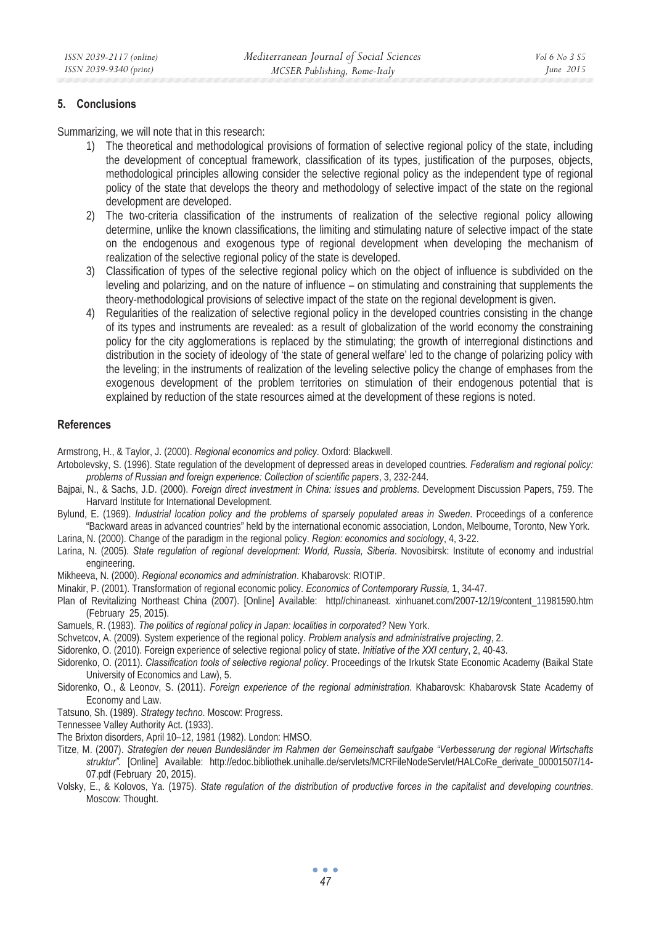## **5. Conclusions**

Summarizing, we will note that in this research:

- 1) The theoretical and methodological provisions of formation of selective regional policy of the state, including the development of conceptual framework, classification of its types, justification of the purposes, objects, methodological principles allowing consider the selective regional policy as the independent type of regional policy of the state that develops the theory and methodology of selective impact of the state on the regional development are developed.
- 2) The two-criteria classification of the instruments of realization of the selective regional policy allowing determine, unlike the known classifications, the limiting and stimulating nature of selective impact of the state on the endogenous and exogenous type of regional development when developing the mechanism of realization of the selective regional policy of the state is developed.
- 3) Classification of types of the selective regional policy which on the object of influence is subdivided on the leveling and polarizing, and on the nature of influence – on stimulating and constraining that supplements the theory-methodological provisions of selective impact of the state on the regional development is given.
- 4) Regularities of the realization of selective regional policy in the developed countries consisting in the change of its types and instruments are revealed: as a result of globalization of the world economy the constraining policy for the city agglomerations is replaced by the stimulating; the growth of interregional distinctions and distribution in the society of ideology of 'the state of general welfare' led to the change of polarizing policy with the leveling; in the instruments of realization of the leveling selective policy the change of emphases from the exogenous development of the problem territories on stimulation of their endogenous potential that is explained by reduction of the state resources aimed at the development of these regions is noted.

#### **References**

Armstrong, H., & Taylor, J. (2000). *Regional economics and policy*. Oxford: Blackwell.

- Artobolevsky, S. (1996). State regulation of the development of depressed areas in developed countries*. Federalism and regional policy: problems of Russian and foreign experience: Collection of scientific papers*, 3, 232-244.
- Bajpai, N., & Sachs, J.D. (2000). *Foreign direct investment in China: issues and problems*. Development Discussion Papers, 759. The Harvard Institute for International Development.
- Bylund, E. (1969). *Industrial location policy and the problems of sparsely populated areas in Sweden*. Proceedings of a conference "Backward areas in advanced countries" held by the international economic association, London, Melbourne, Toronto, New York.
- Larina, N. (2000). Change of the paradigm in the regional policy. *Region: economics and sociology*, 4, 3-22.
- Larina, N. (2005). *State regulation of regional development: World, Russia, Siberia*. Novosibirsk: Institute of economy and industrial engineering.
- Mikheeva, N. (2000). *Regional economics and administration*. Khabarovsk: RIOTIP.
- Minakir, P. (2001). Transformation of regional economic policy. *Economics of Contemporary Russia,* 1, 34-47.
- Plan of Revitalizing Northeast China (2007). [Online] Available: http//chinaneast. xinhuanet.com/2007-12/19/content\_11981590.htm (February 25, 2015).
- Samuels, R. (1983). *The politics of regional policy in Japan: localities in corporated?* New York.
- Schvetcov, A. (2009). System experience of the regional policy. *Problem analysis and administrative projecting*, 2.
- Sidorenko, O. (2010). Foreign experience of selective regional policy of state. *Initiative of the XXI century*, 2, 40-43.
- Sidorenko, O. (2011). *Classification tools of selective regional policy*. Proceedings of the Irkutsk State Economic Academy (Baikal State University of Economics and Law), 5.
- Sidorenko, O., & Leonov, S. (2011). *Foreign experience of the regional administration*. Khabarovsk: Khabarovsk State Academy of Economy and Law.
- Tatsuno, Sh. (1989). *Strategy techno*. Moscow: Progress.
- Tennessee Valley Authority Act. (1933).
- The Brixton disorders, April 10–12, 1981 (1982). London: HMSO.
- Titze, M. (2007). *Strategien der neuen Bundesländer im Rahmen der Gemeinschaft saufgabe "Verbesserung der regional Wirtschafts struktur".* [Online] Available: http://edoc.bibliothek.unihalle.de/servlets/MCRFileNodeServlet/HALCoRe\_derivate\_00001507/14- 07.pdf (February 20, 2015).
- Volsky, ȿ., & Kolovos, Ya. (1975). *State regulation of the distribution of productive forces in the capitalist and developing countries*. Moscow: Thought.